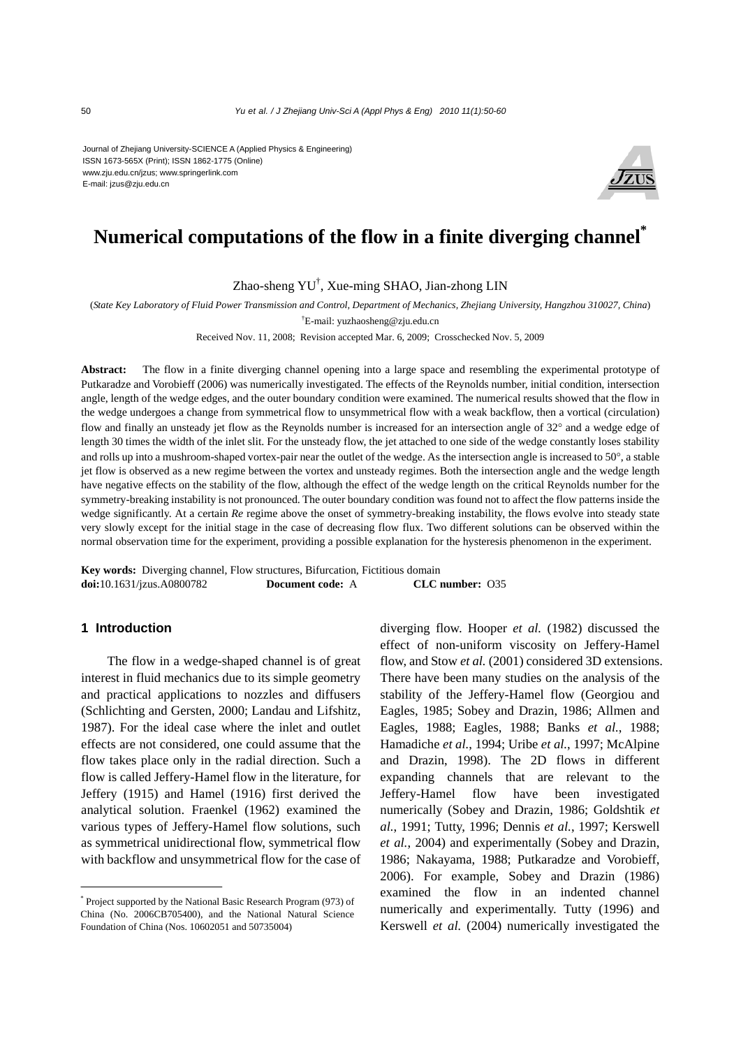#### Journal of Zhejiang University-SCIENCE A (Applied Physics & Engineering) ISSN 1673-565X (Print); ISSN 1862-1775 (Online) www.zju.edu.cn/jzus; www.springerlink.com E-mail: jzus@zju.edu.cn



# **Numerical computations of the flow in a finite diverging channel\***

Zhao-sheng YU† , Xue-ming SHAO, Jian-zhong LIN

(*State Key Laboratory of Fluid Power Transmission and Control, Department of Mechanics, Zhejiang University, Hangzhou 310027, China*)

† E-mail: yuzhaosheng@zju.edu.cn

Received Nov. 11, 2008; Revision accepted Mar. 6, 2009; Crosschecked Nov. 5, 2009

**Abstract:** The flow in a finite diverging channel opening into a large space and resembling the experimental prototype of Putkaradze and Vorobieff (2006) was numerically investigated. The effects of the Reynolds number, initial condition, intersection angle, length of the wedge edges, and the outer boundary condition were examined. The numerical results showed that the flow in the wedge undergoes a change from symmetrical flow to unsymmetrical flow with a weak backflow, then a vortical (circulation) flow and finally an unsteady jet flow as the Reynolds number is increased for an intersection angle of 32° and a wedge edge of length 30 times the width of the inlet slit. For the unsteady flow, the jet attached to one side of the wedge constantly loses stability and rolls up into a mushroom-shaped vortex-pair near the outlet of the wedge. As the intersection angle is increased to  $50^\circ$ , a stable jet flow is observed as a new regime between the vortex and unsteady regimes. Both the intersection angle and the wedge length have negative effects on the stability of the flow, although the effect of the wedge length on the critical Reynolds number for the symmetry-breaking instability is not pronounced. The outer boundary condition was found not to affect the flow patterns inside the wedge significantly. At a certain *Re* regime above the onset of symmetry-breaking instability, the flows evolve into steady state very slowly except for the initial stage in the case of decreasing flow flux. Two different solutions can be observed within the normal observation time for the experiment, providing a possible explanation for the hysteresis phenomenon in the experiment.

**Key words:** Diverging channel, Flow structures, Bifurcation, Fictitious domain **doi:**10.1631/jzus.A0800782 **Document code:** A **CLC number:** O35

## **1 Introduction**

The flow in a wedge-shaped channel is of great interest in fluid mechanics due to its simple geometry and practical applications to nozzles and diffusers (Schlichting and Gersten, 2000; Landau and Lifshitz, 1987). For the ideal case where the inlet and outlet effects are not considered, one could assume that the flow takes place only in the radial direction. Such a flow is called Jeffery-Hamel flow in the literature, for Jeffery (1915) and Hamel (1916) first derived the analytical solution. Fraenkel (1962) examined the various types of Jeffery-Hamel flow solutions, such as symmetrical unidirectional flow, symmetrical flow with backflow and unsymmetrical flow for the case of diverging flow. Hooper *et al.* (1982) discussed the effect of non-uniform viscosity on Jeffery-Hamel flow, and Stow *et al.* (2001) considered 3D extensions. There have been many studies on the analysis of the stability of the Jeffery-Hamel flow (Georgiou and Eagles, 1985; Sobey and Drazin, 1986; Allmen and Eagles, 1988; Eagles, 1988; Banks *et al.*, 1988; Hamadiche *et al.*, 1994; Uribe *et al.*, 1997; McAlpine and Drazin, 1998). The 2D flows in different expanding channels that are relevant to the Jeffery-Hamel flow have been investigated numerically (Sobey and Drazin, 1986; Goldshtik *et al.*, 1991; Tutty, 1996; Dennis *et al.*, 1997; Kerswell *et al.*, 2004) and experimentally (Sobey and Drazin, 1986; Nakayama, 1988; Putkaradze and Vorobieff, 2006). For example, Sobey and Drazin (1986) examined the flow in an indented channel numerically and experimentally. Tutty (1996) and Kerswell *et al.* (2004) numerically investigated the

<sup>\*</sup> Project supported by the National Basic Research Program (973) of China (No. 2006CB705400), and the National Natural Science Foundation of China (Nos. 10602051 and 50735004)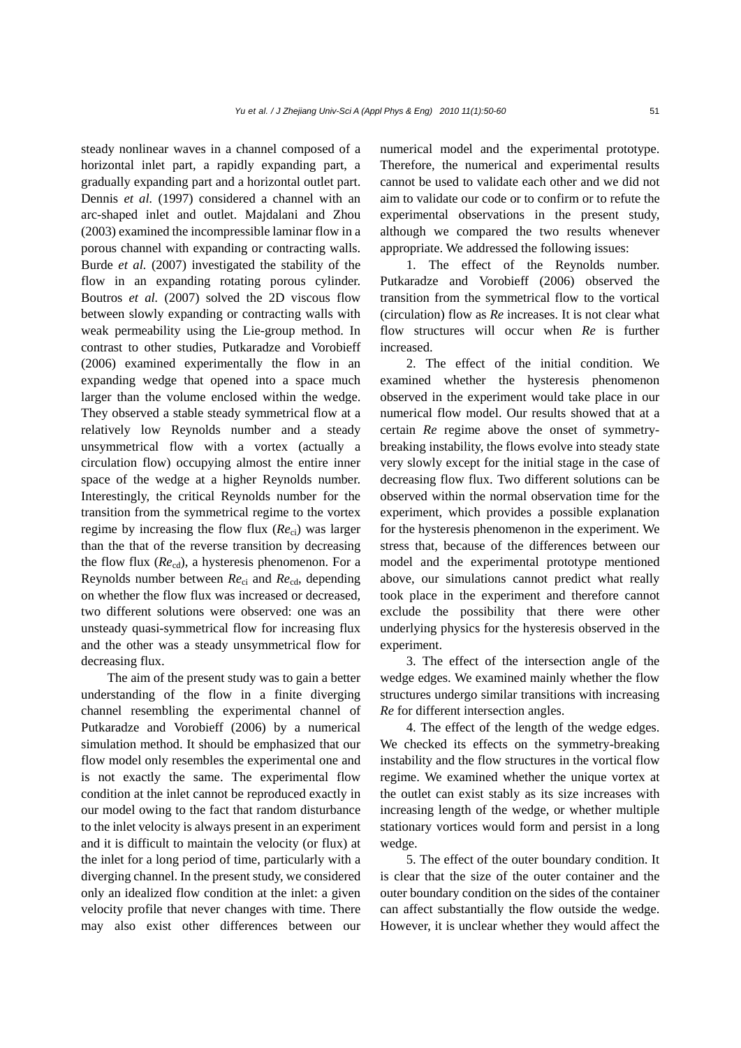steady nonlinear waves in a channel composed of a horizontal inlet part, a rapidly expanding part, a gradually expanding part and a horizontal outlet part. Dennis *et al.* (1997) considered a channel with an arc-shaped inlet and outlet. Majdalani and Zhou (2003) examined the incompressible laminar flow in a porous channel with expanding or contracting walls. Burde *et al.* (2007) investigated the stability of the flow in an expanding rotating porous cylinder. Boutros *et al.* (2007) solved the 2D viscous flow between slowly expanding or contracting walls with weak permeability using the Lie-group method. In contrast to other studies, Putkaradze and Vorobieff (2006) examined experimentally the flow in an expanding wedge that opened into a space much larger than the volume enclosed within the wedge. They observed a stable steady symmetrical flow at a relatively low Reynolds number and a steady unsymmetrical flow with a vortex (actually a circulation flow) occupying almost the entire inner space of the wedge at a higher Reynolds number. Interestingly, the critical Reynolds number for the transition from the symmetrical regime to the vortex regime by increasing the flow flux (*Re*ci) was larger than the that of the reverse transition by decreasing the flow flux (*Re*<sub>cd</sub>), a hysteresis phenomenon. For a Reynolds number between *Re*ci and *Re*cd, depending on whether the flow flux was increased or decreased, two different solutions were observed: one was an unsteady quasi-symmetrical flow for increasing flux and the other was a steady unsymmetrical flow for decreasing flux.

The aim of the present study was to gain a better understanding of the flow in a finite diverging channel resembling the experimental channel of Putkaradze and Vorobieff (2006) by a numerical simulation method. It should be emphasized that our flow model only resembles the experimental one and is not exactly the same. The experimental flow condition at the inlet cannot be reproduced exactly in our model owing to the fact that random disturbance to the inlet velocity is always present in an experiment and it is difficult to maintain the velocity (or flux) at the inlet for a long period of time, particularly with a diverging channel. In the present study, we considered only an idealized flow condition at the inlet: a given velocity profile that never changes with time. There may also exist other differences between our numerical model and the experimental prototype. Therefore, the numerical and experimental results cannot be used to validate each other and we did not aim to validate our code or to confirm or to refute the experimental observations in the present study, although we compared the two results whenever appropriate. We addressed the following issues:

1. The effect of the Reynolds number. Putkaradze and Vorobieff (2006) observed the transition from the symmetrical flow to the vortical (circulation) flow as *Re* increases. It is not clear what flow structures will occur when *Re* is further increased.

2. The effect of the initial condition. We examined whether the hysteresis phenomenon observed in the experiment would take place in our numerical flow model. Our results showed that at a certain *Re* regime above the onset of symmetrybreaking instability, the flows evolve into steady state very slowly except for the initial stage in the case of decreasing flow flux. Two different solutions can be observed within the normal observation time for the experiment, which provides a possible explanation for the hysteresis phenomenon in the experiment. We stress that, because of the differences between our model and the experimental prototype mentioned above, our simulations cannot predict what really took place in the experiment and therefore cannot exclude the possibility that there were other underlying physics for the hysteresis observed in the experiment.

3. The effect of the intersection angle of the wedge edges. We examined mainly whether the flow structures undergo similar transitions with increasing *Re* for different intersection angles.

4. The effect of the length of the wedge edges. We checked its effects on the symmetry-breaking instability and the flow structures in the vortical flow regime. We examined whether the unique vortex at the outlet can exist stably as its size increases with increasing length of the wedge, or whether multiple stationary vortices would form and persist in a long wedge.

5. The effect of the outer boundary condition. It is clear that the size of the outer container and the outer boundary condition on the sides of the container can affect substantially the flow outside the wedge. However, it is unclear whether they would affect the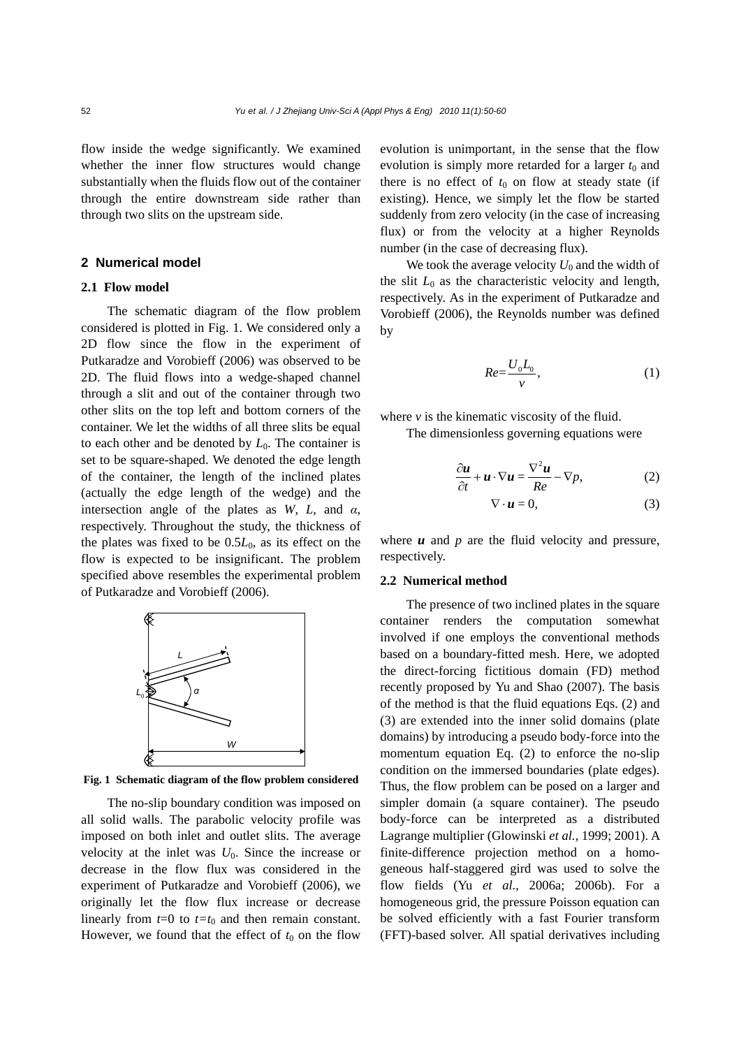flow inside the wedge significantly. We examined whether the inner flow structures would change substantially when the fluids flow out of the container through the entire downstream side rather than through two slits on the upstream side.

#### **2 Numerical model**

#### **2.1 Flow model**

The schematic diagram of the flow problem considered is plotted in Fig. 1. We considered only a 2D flow since the flow in the experiment of Putkaradze and Vorobieff (2006) was observed to be 2D. The fluid flows into a wedge-shaped channel through a slit and out of the container through two other slits on the top left and bottom corners of the container. We let the widths of all three slits be equal to each other and be denoted by  $L_0$ . The container is set to be square-shaped. We denoted the edge length of the container, the length of the inclined plates (actually the edge length of the wedge) and the intersection angle of the plates as  $W$ ,  $L$ , and  $\alpha$ , respectively. Throughout the study, the thickness of the plates was fixed to be  $0.5L_0$ , as its effect on the flow is expected to be insignificant. The problem specified above resembles the experimental problem of Putkaradze and Vorobieff (2006).



**Fig. 1 Schematic diagram of the flow problem considered**

The no-slip boundary condition was imposed on all solid walls. The parabolic velocity profile was imposed on both inlet and outlet slits. The average velocity at the inlet was  $U_0$ . Since the increase or decrease in the flow flux was considered in the experiment of Putkaradze and Vorobieff (2006), we originally let the flow flux increase or decrease linearly from  $t=0$  to  $t=t_0$  and then remain constant. However, we found that the effect of  $t_0$  on the flow evolution is unimportant, in the sense that the flow evolution is simply more retarded for a larger  $t_0$  and there is no effect of  $t_0$  on flow at steady state (if existing). Hence, we simply let the flow be started suddenly from zero velocity (in the case of increasing flux) or from the velocity at a higher Reynolds number (in the case of decreasing flux).

We took the average velocity  $U_0$  and the width of the slit  $L_0$  as the characteristic velocity and length, respectively. As in the experiment of Putkaradze and Vorobieff (2006), the Reynolds number was defined by

$$
Re = \frac{U_0 L_0}{v},\tag{1}
$$

where  $\nu$  is the kinematic viscosity of the fluid.

The dimensionless governing equations were

$$
\frac{\partial u}{\partial t} + u \cdot \nabla u = \frac{\nabla^2 u}{Re} - \nabla p, \qquad (2)
$$

$$
\nabla \cdot \mathbf{u} = 0, \tag{3}
$$

where  $u$  and  $p$  are the fluid velocity and pressure, respectively.

## **2.2 Numerical method**

The presence of two inclined plates in the square container renders the computation somewhat involved if one employs the conventional methods based on a boundary-fitted mesh. Here, we adopted the direct-forcing fictitious domain (FD) method recently proposed by Yu and Shao (2007). The basis of the method is that the fluid equations Eqs. (2) and (3) are extended into the inner solid domains (plate domains) by introducing a pseudo body-force into the momentum equation Eq. (2) to enforce the no-slip condition on the immersed boundaries (plate edges). Thus, the flow problem can be posed on a larger and simpler domain (a square container). The pseudo body-force can be interpreted as a distributed Lagrange multiplier (Glowinski *et al.*, 1999; 2001). A finite-difference projection method on a homogeneous half-staggered gird was used to solve the flow fields (Yu *et al.*, 2006a; 2006b). For a homogeneous grid, the pressure Poisson equation can be solved efficiently with a fast Fourier transform (FFT)-based solver. All spatial derivatives including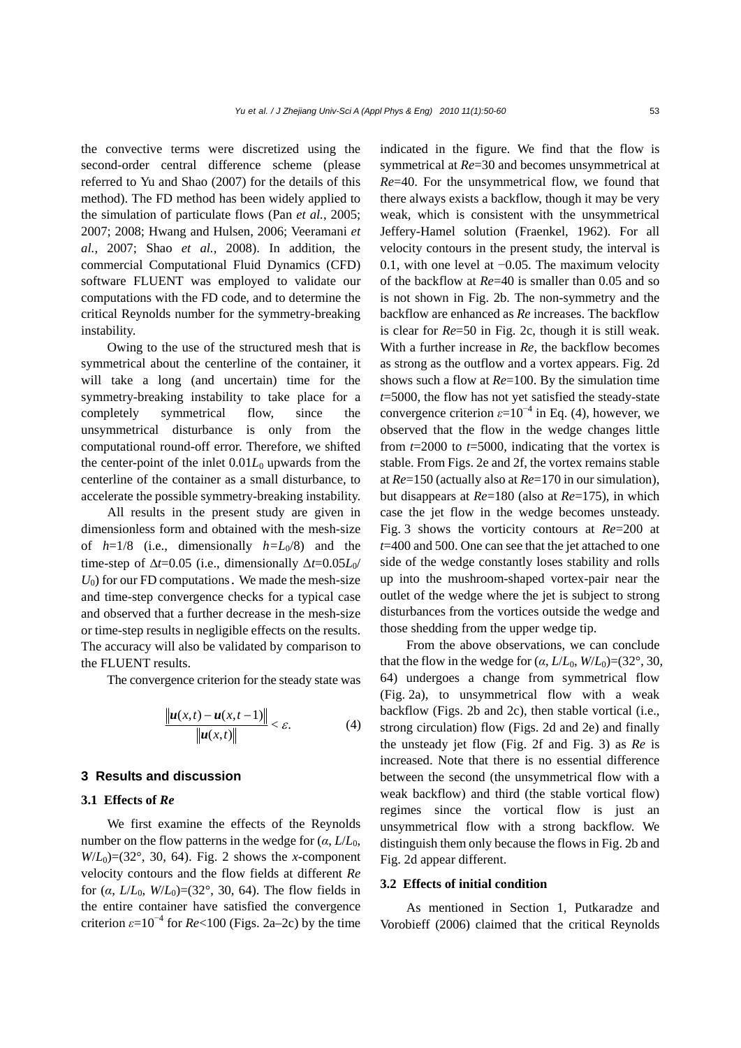the convective terms were discretized using the second-order central difference scheme (please referred to Yu and Shao (2007) for the details of this method). The FD method has been widely applied to the simulation of particulate flows (Pan *et al.*, 2005; 2007; 2008; Hwang and Hulsen, 2006; Veeramani *et al.*, 2007; Shao *et al.*, 2008). In addition, the commercial Computational Fluid Dynamics (CFD) software FLUENT was employed to validate our computations with the FD code, and to determine the critical Reynolds number for the symmetry-breaking instability.

Owing to the use of the structured mesh that is symmetrical about the centerline of the container, it will take a long (and uncertain) time for the symmetry-breaking instability to take place for a completely symmetrical flow, since the unsymmetrical disturbance is only from the computational round-off error. Therefore, we shifted the center-point of the inlet  $0.01L_0$  upwards from the centerline of the container as a small disturbance, to accelerate the possible symmetry-breaking instability.

All results in the present study are given in dimensionless form and obtained with the mesh-size of  $h=1/8$  (i.e., dimensionally  $h=L_0/8$ ) and the time-step of Δ*t*=0.05 (i.e., dimensionally Δ*t*=0.05*L*<sub>0</sub>/  $U_0$ ) for our FD computations. We made the mesh-size and time-step convergence checks for a typical case and observed that a further decrease in the mesh-size or time-step results in negligible effects on the results. The accuracy will also be validated by comparison to the FLUENT results.

The convergence criterion for the steady state was

$$
\frac{\Vert \boldsymbol{u}(x,t) - \boldsymbol{u}(x,t-1) \Vert}{\Vert \boldsymbol{u}(x,t) \Vert} < \varepsilon. \tag{4}
$$

## **3 Results and discussion**

## **3.1 Effects of** *Re*

We first examine the effects of the Reynolds number on the flow patterns in the wedge for  $(a, L/L_0)$ ,  $W/L_0$ =(32°, 30, 64). Fig. 2 shows the *x*-component velocity contours and the flow fields at different *Re* for  $(a, L/L_0, W/L_0) = (32^{\circ}, 30, 64)$ . The flow fields in the entire container have satisfied the convergence criterion  $\varepsilon$ =10<sup>-4</sup> for *Re*<100 (Figs. 2a–2c) by the time indicated in the figure. We find that the flow is symmetrical at *Re*=30 and becomes unsymmetrical at *Re*=40. For the unsymmetrical flow, we found that there always exists a backflow, though it may be very weak, which is consistent with the unsymmetrical Jeffery-Hamel solution (Fraenkel, 1962). For all velocity contours in the present study, the interval is 0.1, with one level at −0.05. The maximum velocity of the backflow at *Re*=40 is smaller than 0.05 and so is not shown in Fig. 2b. The non-symmetry and the backflow are enhanced as *Re* increases. The backflow is clear for *Re*=50 in Fig. 2c, though it is still weak. With a further increase in *Re*, the backflow becomes as strong as the outflow and a vortex appears. Fig. 2d shows such a flow at *Re*=100. By the simulation time *t*=5000, the flow has not yet satisfied the steady-state convergence criterion  $\varepsilon$ =10<sup>-4</sup> in Eq. (4), however, we observed that the flow in the wedge changes little from  $t=2000$  to  $t=5000$ , indicating that the vortex is stable. From Figs. 2e and 2f, the vortex remains stable at *Re*=150 (actually also at *Re*=170 in our simulation), but disappears at *Re*=180 (also at *Re*=175), in which case the jet flow in the wedge becomes unsteady. Fig. 3 shows the vorticity contours at *Re*=200 at *t*=400 and 500. One can see that the jet attached to one side of the wedge constantly loses stability and rolls up into the mushroom-shaped vortex-pair near the outlet of the wedge where the jet is subject to strong disturbances from the vortices outside the wedge and those shedding from the upper wedge tip.

From the above observations, we can conclude that the flow in the wedge for  $(a, L/L_0, W/L_0) = (32^{\circ}, 30,$ 64) undergoes a change from symmetrical flow (Fig. 2a), to unsymmetrical flow with a weak backflow (Figs. 2b and 2c), then stable vortical (i.e., strong circulation) flow (Figs. 2d and 2e) and finally the unsteady jet flow (Fig. 2f and Fig. 3) as *Re* is increased. Note that there is no essential difference between the second (the unsymmetrical flow with a weak backflow) and third (the stable vortical flow) regimes since the vortical flow is just an unsymmetrical flow with a strong backflow. We distinguish them only because the flows in Fig. 2b and Fig. 2d appear different.

#### **3.2 Effects of initial condition**

As mentioned in Section 1, Putkaradze and Vorobieff (2006) claimed that the critical Reynolds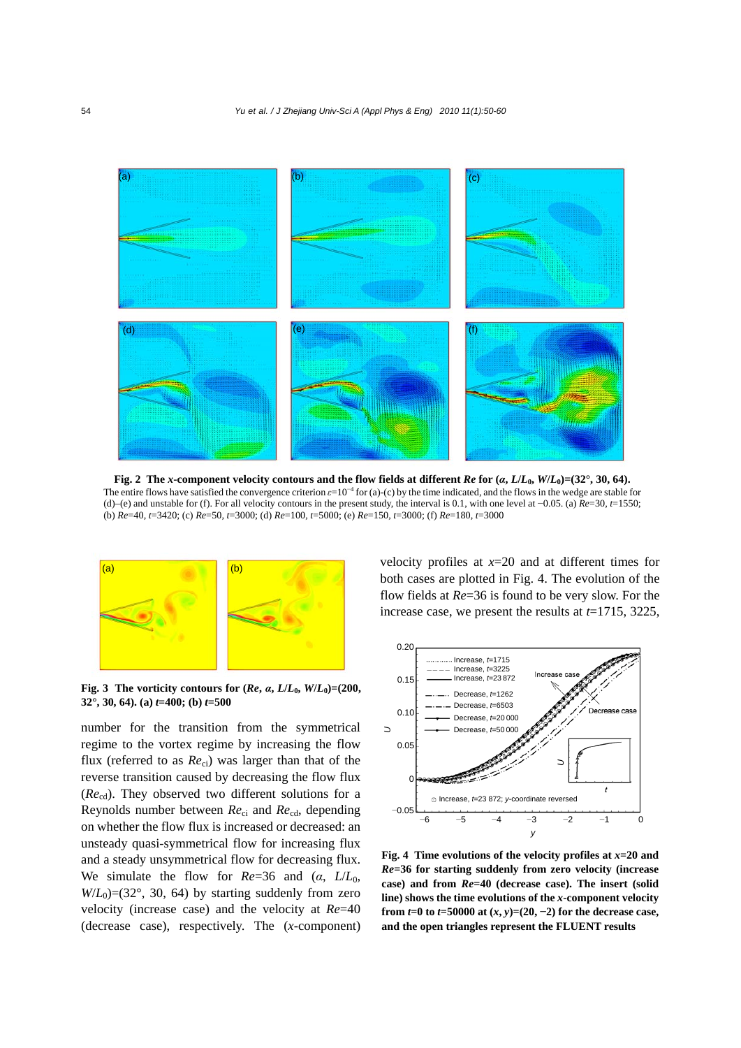

**Fig. 2** The *x***-component velocity contours and the flow fields at different**  $Re$  **for**  $(a, L/L_0, W/L_0) = (32^\circ, 30, 64)$ **.** The entire flows have satisfied the convergence criterion  $\varepsilon=10^{-4}$  for (a)-(c) by the time indicated, and the flows in the wedge are stable for (d)–(e) and unstable for (f). For all velocity contours in the present study, the interval is 0.1, with one level at −0.05. (a) *Re*=30*, t*=1550; (b) *Re*=40*, t*=3420; (c) *Re*=50*, t*=3000; (d) *Re*=100*, t*=5000; (e) *Re*=150*, t*=3000; (f) *Re*=180*, t*=3000



**Fig. 3** The vorticity contours for  $(Re, \alpha, L/L_0, W/L_0) = (200,$ **32°, 30, 64). (a)** *t***=400; (b)** *t***=500** 

number for the transition from the symmetrical regime to the vortex regime by increasing the flow flux (referred to as *Re*ci) was larger than that of the reverse transition caused by decreasing the flow flux (*Re*cd). They observed two different solutions for a Reynolds number between *Re*ci and *Re*cd, depending on whether the flow flux is increased or decreased: an unsteady quasi-symmetrical flow for increasing flux and a steady unsymmetrical flow for decreasing flux. We simulate the flow for  $Re=36$  and  $(a, L/L_0)$ ,  $W/L_0$ =(32°, 30, 64) by starting suddenly from zero velocity (increase case) and the velocity at *Re*=40 (decrease case), respectively. The (*x*-component)

velocity profiles at *x*=20 and at different times for both cases are plotted in Fig. 4. The evolution of the flow fields at *Re*=36 is found to be very slow. For the increase case, we present the results at *t*=1715, 3225,



**Fig. 4 Time evolutions of the velocity profiles at** *x***=20 and**  *Re***=36 for starting suddenly from zero velocity (increase case) and from** *Re***=40 (decrease case). The insert (solid line) shows the time evolutions of the** *x***-component velocity from**  $t=0$  **to**  $t=50000$  **at**  $(x, y)=(20, -2)$  **for the decrease case. and the open triangles represent the FLUENT results**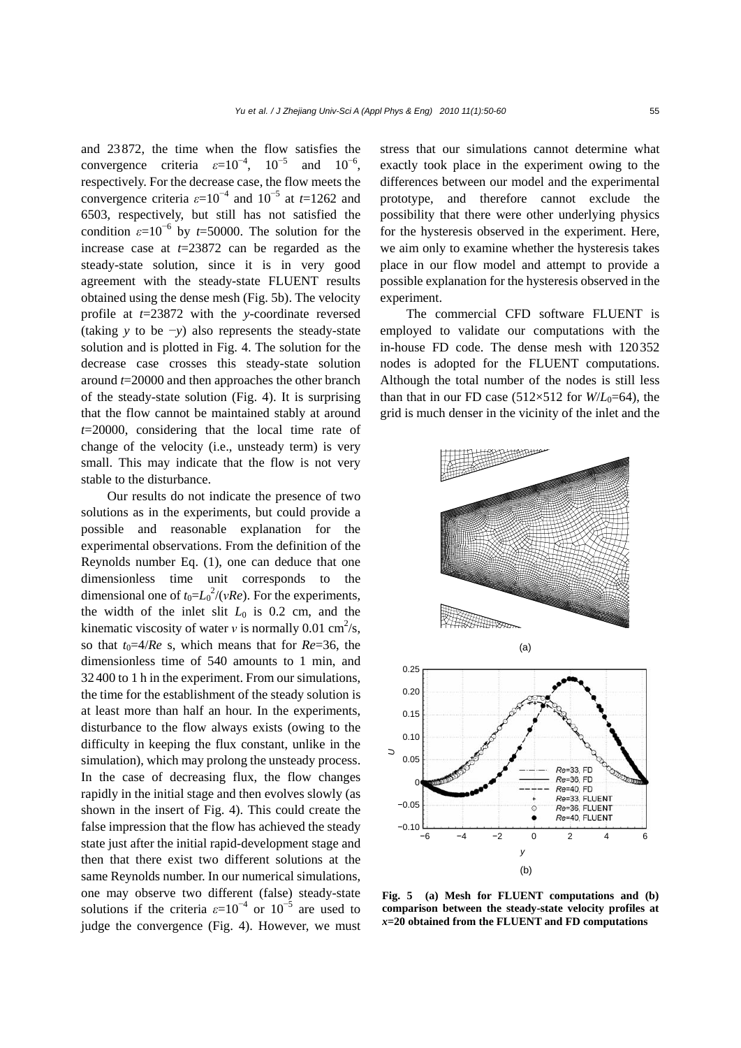and 23872, the time when the flow satisfies the convergence criteria  $\varepsilon=10^{-4}$ ,  $10^{-5}$ and  $10^{-6}$ , respectively. For the decrease case, the flow meets the convergence criteria  $\varepsilon=10^{-4}$  and  $10^{-5}$  at  $t=1262$  and 6503, respectively, but still has not satisfied the condition  $\varepsilon=10^{-6}$  by *t*=50000. The solution for the increase case at *t*=23872 can be regarded as the steady-state solution, since it is in very good agreement with the steady-state FLUENT results obtained using the dense mesh (Fig. 5b). The velocity profile at *t*=23872 with the *y*-coordinate reversed (taking *y* to be −*y*) also represents the steady-state solution and is plotted in Fig. 4. The solution for the decrease case crosses this steady-state solution around *t*=20000 and then approaches the other branch of the steady-state solution (Fig. 4). It is surprising that the flow cannot be maintained stably at around *t*=20000, considering that the local time rate of change of the velocity (i.e., unsteady term) is very small. This may indicate that the flow is not very stable to the disturbance.

Our results do not indicate the presence of two solutions as in the experiments, but could provide a possible and reasonable explanation for the experimental observations. From the definition of the Reynolds number Eq. (1), one can deduce that one dimensionless time unit corresponds to the dimensional one of  $t_0 = L_0^2 / (vRe)$ . For the experiments, the width of the inlet slit  $L_0$  is 0.2 cm, and the kinematic viscosity of water *v* is normally 0.01 cm<sup>2</sup>/s, so that *t*0=4/*Re* s, which means that for *Re*=36, the dimensionless time of 540 amounts to 1 min, and 32 400 to 1 h in the experiment. From our simulations, the time for the establishment of the steady solution is at least more than half an hour. In the experiments, disturbance to the flow always exists (owing to the difficulty in keeping the flux constant, unlike in the simulation), which may prolong the unsteady process. In the case of decreasing flux, the flow changes rapidly in the initial stage and then evolves slowly (as shown in the insert of Fig. 4). This could create the false impression that the flow has achieved the steady state just after the initial rapid-development stage and then that there exist two different solutions at the same Reynolds number. In our numerical simulations, one may observe two different (false) steady-state solutions if the criteria  $\varepsilon=10^{-4}$  or  $10^{-5}$  are used to judge the convergence (Fig. 4). However, we must

stress that our simulations cannot determine what exactly took place in the experiment owing to the differences between our model and the experimental prototype, and therefore cannot exclude the possibility that there were other underlying physics for the hysteresis observed in the experiment. Here, we aim only to examine whether the hysteresis takes place in our flow model and attempt to provide a possible explanation for the hysteresis observed in the experiment.

The commercial CFD software FLUENT is employed to validate our computations with the in-house FD code. The dense mesh with 120352 nodes is adopted for the FLUENT computations. Although the total number of the nodes is still less than that in our FD case (512×512 for  $W/L_0=64$ ), the grid is much denser in the vicinity of the inlet and the



**Fig. 5 (a) Mesh for FLUENT computations and (b) comparison between the steady-state velocity profiles at**  *x***=20 obtained from the FLUENT and FD computations**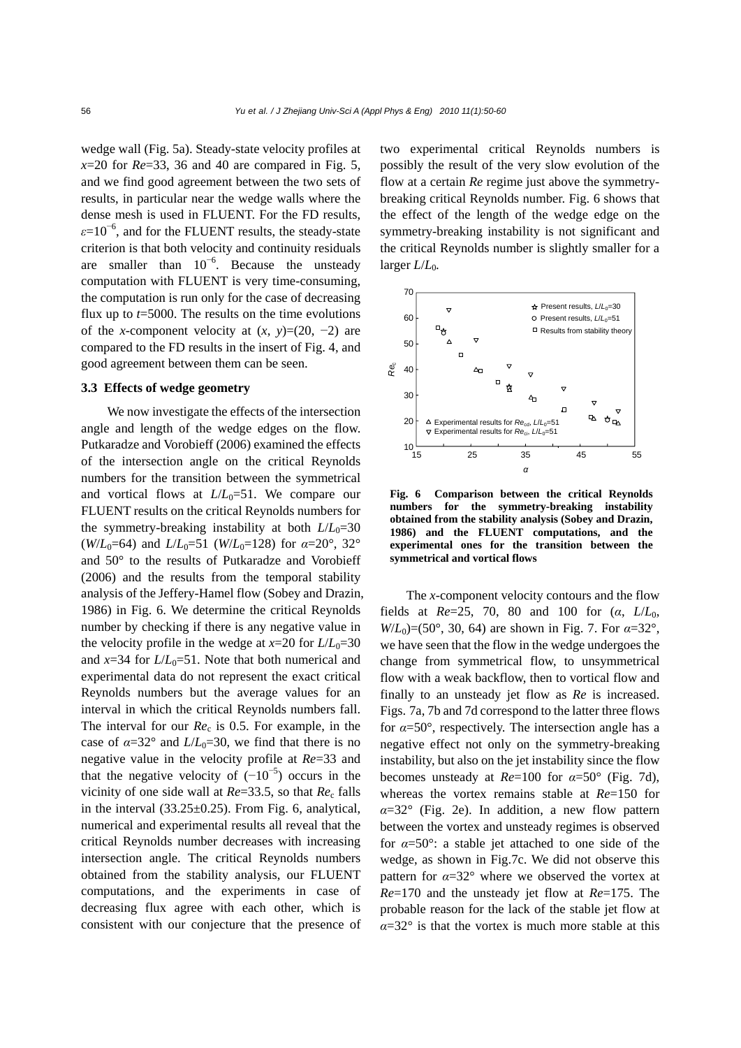wedge wall (Fig. 5a). Steady-state velocity profiles at  $x=20$  for  $Re=33$ , 36 and 40 are compared in Fig. 5, and we find good agreement between the two sets of results, in particular near the wedge walls where the dense mesh is used in FLUENT. For the FD results,  $\varepsilon$ =10<sup>-6</sup>, and for the FLUENT results, the steady-state criterion is that both velocity and continuity residuals are smaller than  $10^{-6}$ . Because the unsteady computation with FLUENT is very time-consuming, the computation is run only for the case of decreasing flux up to *t*=5000. The results on the time evolutions of the *x*-component velocity at  $(x, y)=(20, -2)$  are compared to the FD results in the insert of Fig. 4, and good agreement between them can be seen.

## **3.3 Effects of wedge geometry**

We now investigate the effects of the intersection angle and length of the wedge edges on the flow. Putkaradze and Vorobieff (2006) examined the effects of the intersection angle on the critical Reynolds numbers for the transition between the symmetrical and vortical flows at  $L/L_0=51$ . We compare our FLUENT results on the critical Reynolds numbers for the symmetry-breaking instability at both  $L/L_0=30$ (*W*/*L*<sub>0</sub>=64) and *L*/*L*<sub>0</sub>=51 (*W*/*L*<sub>0</sub>=128) for  $\alpha$ =20°, 32° and 50° to the results of Putkaradze and Vorobieff (2006) and the results from the temporal stability analysis of the Jeffery-Hamel flow (Sobey and Drazin, 1986) in Fig. 6. We determine the critical Reynolds number by checking if there is any negative value in the velocity profile in the wedge at  $x=20$  for  $L/L_0=30$ and  $x=34$  for  $L/L_0=51$ . Note that both numerical and experimental data do not represent the exact critical Reynolds numbers but the average values for an interval in which the critical Reynolds numbers fall. The interval for our *Re<sub>c</sub>* is 0.5. For example, in the case of  $\alpha = 32^{\circ}$  and  $L/L_0 = 30$ , we find that there is no negative value in the velocity profile at *Re*=33 and that the negative velocity of  $(-10^{-5})$  occurs in the vicinity of one side wall at *Re*=33.5, so that *Re*c falls in the interval  $(33.25\pm0.25)$ . From Fig. 6, analytical, numerical and experimental results all reveal that the critical Reynolds number decreases with increasing intersection angle. The critical Reynolds numbers obtained from the stability analysis, our FLUENT computations, and the experiments in case of decreasing flux agree with each other, which is consistent with our conjecture that the presence of

two experimental critical Reynolds numbers is possibly the result of the very slow evolution of the flow at a certain *Re* regime just above the symmetrybreaking critical Reynolds number. Fig. 6 shows that the effect of the length of the wedge edge on the symmetry-breaking instability is not significant and the critical Reynolds number is slightly smaller for a larger  $L/L_0$ .



**Fig. 6 Comparison between the critical Reynolds numbers for the symmetry-breaking instability obtained from the stability analysis (Sobey and Drazin, 1986) and the FLUENT computations, and the experimental ones for the transition between the symmetrical and vortical flows** 

The *x*-component velocity contours and the flow fields at *Re*=25, 70, 80 and 100 for (*α*, *L*/*L*0, *W*/*L*<sub>0</sub>)=(50°, 30, 64) are shown in Fig. 7. For  $\alpha = 32^{\circ}$ , we have seen that the flow in the wedge undergoes the change from symmetrical flow, to unsymmetrical flow with a weak backflow, then to vortical flow and finally to an unsteady jet flow as *Re* is increased. Figs. 7a, 7b and 7d correspond to the latter three flows for  $\alpha = 50^\circ$ , respectively. The intersection angle has a negative effect not only on the symmetry-breaking instability, but also on the jet instability since the flow becomes unsteady at *Re*=100 for *α*=50° (Fig. 7d), whereas the vortex remains stable at *Re*=150 for  $\alpha = 32^{\circ}$  (Fig. 2e). In addition, a new flow pattern between the vortex and unsteady regimes is observed for *α*=50°: a stable jet attached to one side of the wedge, as shown in Fig.7c. We did not observe this pattern for  $\alpha = 32^{\circ}$  where we observed the vortex at *Re*=170 and the unsteady jet flow at *Re*=175. The probable reason for the lack of the stable jet flow at  $\alpha = 32^{\circ}$  is that the vortex is much more stable at this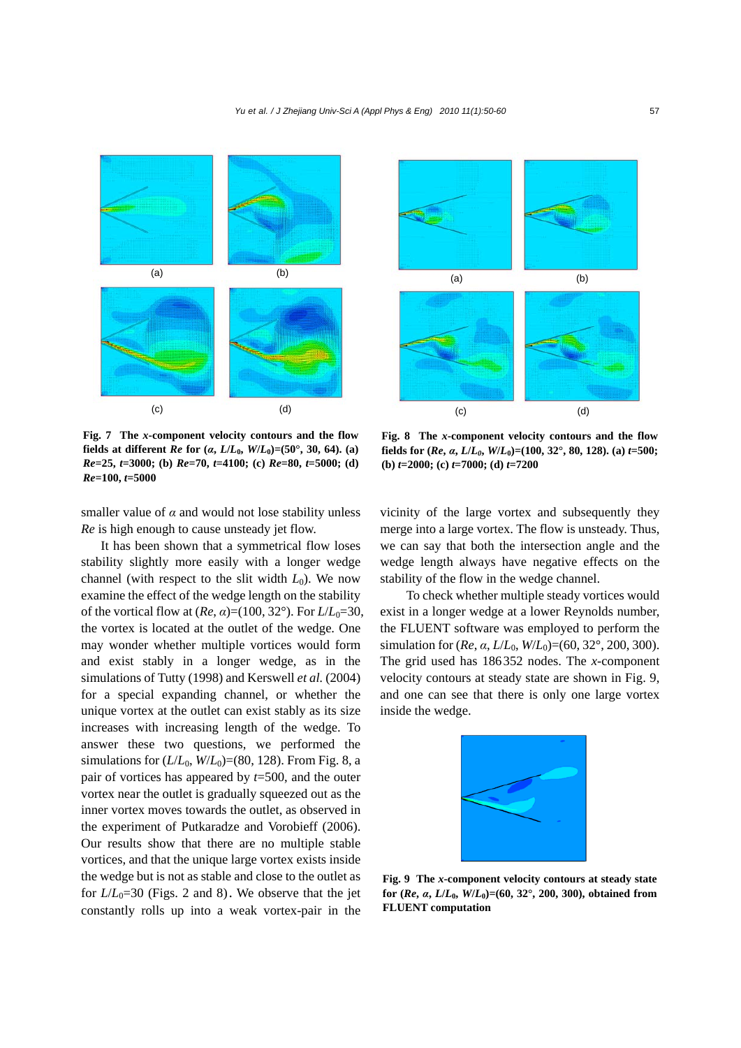

**Fig. 7 The** *x***-component velocity contours and the flow fields at different** *Re* for  $(a, L/L_0, W/L_0) = (50^{\circ}, 30, 64)$ . (a) *Re***=25,** *t***=3000; (b)** *Re***=70,** *t***=4100; (c)** *Re***=80,** *t***=5000; (d)**  *Re***=100,** *t***=5000** 



**Fig. 8 The** *x***-component velocity contours and the flow fields for (***Re***,** *α***,** *L***/***L0***,** *W***/***L***0)=(100, 32°, 80, 128). (a)** *t***=500; (b)** *t***=2000; (c)** *t***=7000; (d)** *t***=7200** 

smaller value of  $\alpha$  and would not lose stability unless *Re* is high enough to cause unsteady jet flow.

It has been shown that a symmetrical flow loses stability slightly more easily with a longer wedge channel (with respect to the slit width  $L_0$ ). We now examine the effect of the wedge length on the stability of the vortical flow at (*Re*, *α*)=(100, 32°). For *L*/*L*0=30, the vortex is located at the outlet of the wedge. One may wonder whether multiple vortices would form and exist stably in a longer wedge, as in the simulations of Tutty (1998) and Kerswell *et al.* (2004) for a special expanding channel, or whether the unique vortex at the outlet can exist stably as its size increases with increasing length of the wedge. To answer these two questions, we performed the simulations for (*L*/*L*0, *W*/*L*0)=(80, 128). From Fig. 8, a pair of vortices has appeared by *t*=500, and the outer vortex near the outlet is gradually squeezed out as the inner vortex moves towards the outlet, as observed in the experiment of Putkaradze and Vorobieff (2006). Our results show that there are no multiple stable vortices, and that the unique large vortex exists inside the wedge but is not as stable and close to the outlet as for  $L/L_0=30$  (Figs. 2 and 8). We observe that the jet constantly rolls up into a weak vortex-pair in the

vicinity of the large vortex and subsequently they merge into a large vortex. The flow is unsteady. Thus, we can say that both the intersection angle and the wedge length always have negative effects on the stability of the flow in the wedge channel.

To check whether multiple steady vortices would exist in a longer wedge at a lower Reynolds number, the FLUENT software was employed to perform the simulation for (*Re*, *α*, *L*/*L*0, *W*/*L*0)=(60, 32°, 200, 300). The grid used has 186352 nodes. The *x*-component velocity contours at steady state are shown in Fig. 9, and one can see that there is only one large vortex inside the wedge.



**Fig. 9 The** *x***-component velocity contours at steady state for** (*Re*,  $\alpha$ ,  $L/L_0$ ,  $W/L_0$ )=(60, 32°, 200, 300), obtained from **FLUENT computation**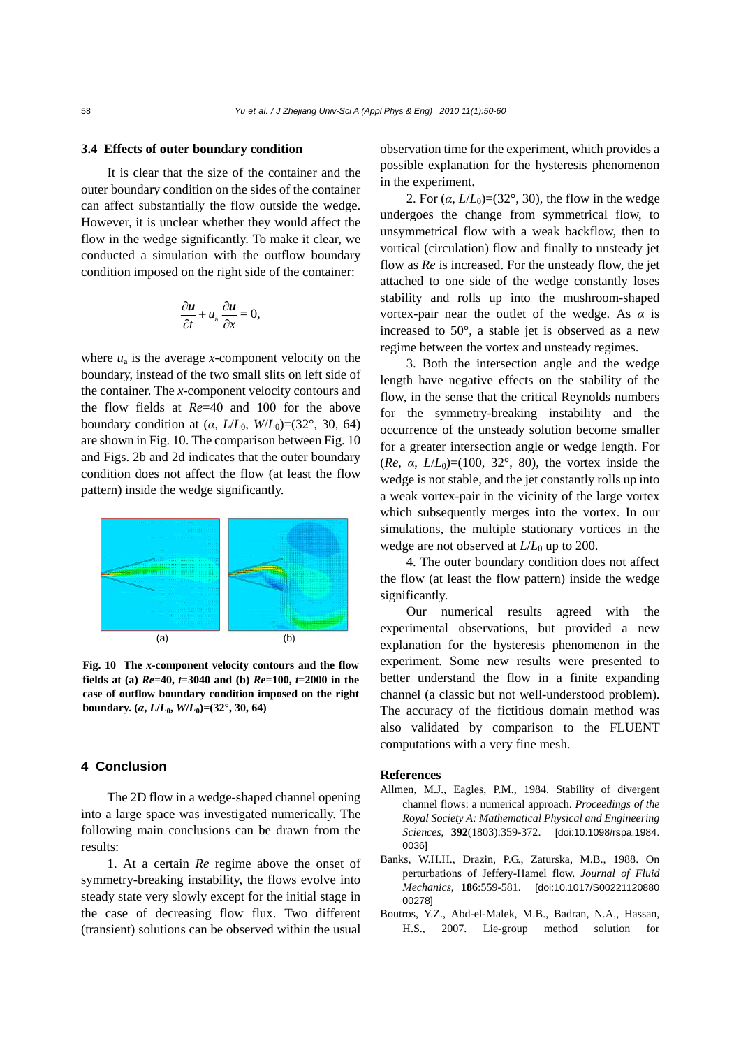#### **3.4 Effects of outer boundary condition**

It is clear that the size of the container and the outer boundary condition on the sides of the container can affect substantially the flow outside the wedge. However, it is unclear whether they would affect the flow in the wedge significantly. To make it clear, we conducted a simulation with the outflow boundary condition imposed on the right side of the container:

$$
\frac{\partial u}{\partial t} + u_{\rm a} \frac{\partial u}{\partial x} = 0,
$$

where  $u_a$  is the average *x*-component velocity on the boundary, instead of the two small slits on left side of the container. The *x*-component velocity contours and the flow fields at *Re*=40 and 100 for the above boundary condition at (*α*, *L*/*L*0, *W*/*L*0)=(32°, 30, 64) are shown in Fig. 10. The comparison between Fig. 10 and Figs. 2b and 2d indicates that the outer boundary condition does not affect the flow (at least the flow pattern) inside the wedge significantly.



**Fig. 10 The** *x***-component velocity contours and the flow fields at (a)** *Re***=40,** *t***=3040 and (b)** *Re***=100,** *t***=2000 in the case of outflow boundary condition imposed on the right boundary.** (*a*,  $L/L_0$ ,  $W/L_0$ )=(32°, 30, 64)

## **4 Conclusion**

The 2D flow in a wedge-shaped channel opening into a large space was investigated numerically. The following main conclusions can be drawn from the results:

1. At a certain *Re* regime above the onset of symmetry-breaking instability, the flows evolve into steady state very slowly except for the initial stage in the case of decreasing flow flux. Two different (transient) solutions can be observed within the usual

observation time for the experiment, which provides a possible explanation for the hysteresis phenomenon in the experiment.

2. For  $(a, L/L_0) = (32^\circ, 30)$ , the flow in the wedge undergoes the change from symmetrical flow, to unsymmetrical flow with a weak backflow, then to vortical (circulation) flow and finally to unsteady jet flow as *Re* is increased. For the unsteady flow, the jet attached to one side of the wedge constantly loses stability and rolls up into the mushroom-shaped vortex-pair near the outlet of the wedge. As *α* is increased to 50°, a stable jet is observed as a new regime between the vortex and unsteady regimes.

3. Both the intersection angle and the wedge length have negative effects on the stability of the flow, in the sense that the critical Reynolds numbers for the symmetry-breaking instability and the occurrence of the unsteady solution become smaller for a greater intersection angle or wedge length. For (*Re*, *α*, *L*/*L*0)=(100, 32°, 80), the vortex inside the wedge is not stable, and the jet constantly rolls up into a weak vortex-pair in the vicinity of the large vortex which subsequently merges into the vortex. In our simulations, the multiple stationary vortices in the wedge are not observed at  $L/L_0$  up to 200.

4. The outer boundary condition does not affect the flow (at least the flow pattern) inside the wedge significantly.

Our numerical results agreed with the experimental observations, but provided a new explanation for the hysteresis phenomenon in the experiment. Some new results were presented to better understand the flow in a finite expanding channel (a classic but not well-understood problem). The accuracy of the fictitious domain method was also validated by comparison to the FLUENT computations with a very fine mesh.

#### **References**

- Allmen, M.J., Eagles, P.M., 1984. Stability of divergent channel flows: a numerical approach. *Proceedings of the Royal Society A: Mathematical Physical and Engineering Sciences*, **392**(1803):359-372. [doi:10.1098/rspa.1984. 0036]
- Banks, W.H.H., Drazin, P.G., Zaturska, M.B., 1988. On perturbations of Jeffery-Hamel flow. *Journal of Fluid Mechanics*, **186**:559-581. [doi:10.1017/S00221120880 00278]
- Boutros, Y.Z., Abd-el-Malek, M.B., Badran, N.A., Hassan, H.S., 2007. Lie-group method solution for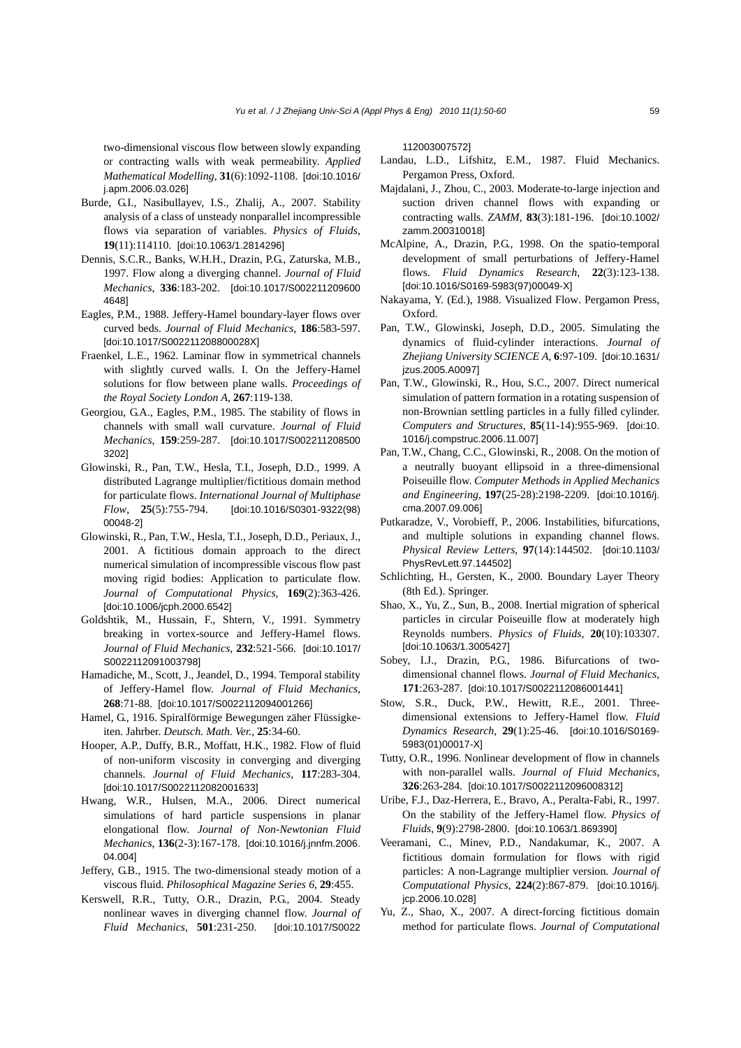two-dimensional viscous flow between slowly expanding or contracting walls with weak permeability. *Applied Mathematical Modelling*, **31**(6):1092-1108. [doi:10.1016/ j.apm.2006.03.026]

- Burde, G.I., Nasibullayev, I.S., Zhalij, A., 2007. Stability analysis of a class of unsteady nonparallel incompressible flows via separation of variables. *Physics of Fluids*, **19**(11):114110. [doi:10.1063/1.2814296]
- Dennis, S.C.R., Banks, W.H.H., Drazin, P.G., Zaturska, M.B., 1997. Flow along a diverging channel. *Journal of Fluid Mechanics*, **336**:183-202. [doi:10.1017/S002211209600 4648]
- Eagles, P.M., 1988. Jeffery-Hamel boundary-layer flows over curved beds. *Journal of Fluid Mechanics*, **186**:583-597. [doi:10.1017/S002211208800028X]
- Fraenkel, L.E., 1962. Laminar flow in symmetrical channels with slightly curved walls. I. On the Jeffery-Hamel solutions for flow between plane walls. *Proceedings of the Royal Society London A*, **267**:119-138.
- Georgiou, G.A., Eagles, P.M., 1985. The stability of flows in channels with small wall curvature. *Journal of Fluid Mechanics*, **159**:259-287. [doi:10.1017/S002211208500 3202]
- Glowinski, R., Pan, T.W., Hesla, T.I., Joseph, D.D., 1999. A distributed Lagrange multiplier/fictitious domain method for particulate flows. *International Journal of Multiphase Flow*, **25**(5):755-794. [doi:10.1016/S0301-9322(98) 00048-2]
- Glowinski, R., Pan, T.W., Hesla, T.I., Joseph, D.D., Periaux, J., 2001. A fictitious domain approach to the direct numerical simulation of incompressible viscous flow past moving rigid bodies: Application to particulate flow. *Journal of Computational Physics*, **169**(2):363-426. [doi:10.1006/jcph.2000.6542]
- Goldshtik, M., Hussain, F., Shtern, V., 1991. Symmetry breaking in vortex-source and Jeffery-Hamel flows. *Journal of Fluid Mechanics*, **232**:521-566. [doi:10.1017/ S0022112091003798]
- Hamadiche, M., Scott, J., Jeandel, D., 1994. Temporal stability of Jeffery-Hamel flow. *Journal of Fluid Mechanics*, **268**:71-88. [doi:10.1017/S0022112094001266]
- Hamel, G., 1916. Spiralförmige Bewegungen zäher Flüssigkeiten. Jahrber. *Deutsch. Math. Ver.*, **25**:34-60.
- Hooper, A.P., Duffy, B.R., Moffatt, H.K., 1982. Flow of fluid of non-uniform viscosity in converging and diverging channels. *Journal of Fluid Mechanics*, **117**:283-304. [doi:10.1017/S0022112082001633]
- Hwang, W.R., Hulsen, M.A., 2006. Direct numerical simulations of hard particle suspensions in planar elongational flow. *Journal of Non-Newtonian Fluid Mechanics*, **136**(2-3):167-178. [doi:10.1016/j.jnnfm.2006. 04.004]
- Jeffery, G.B., 1915. The two-dimensional steady motion of a viscous fluid. *Philosophical Magazine Series 6*, **29**:455.
- Kerswell, R.R., Tutty, O.R., Drazin, P.G., 2004. Steady nonlinear waves in diverging channel flow. *Journal of Fluid Mechanics*, **501**:231-250. [doi:10.1017/S0022

112003007572]

- Landau, L.D., Lifshitz, E.M., 1987. Fluid Mechanics. Pergamon Press, Oxford.
- Majdalani, J., Zhou, C., 2003. Moderate-to-large injection and suction driven channel flows with expanding or contracting walls. *ZAMM*, **83**(3):181-196. [doi:10.1002/ zamm.200310018]
- McAlpine, A., Drazin, P.G., 1998. On the spatio-temporal development of small perturbations of Jeffery-Hamel flows. *Fluid Dynamics Research*, **22**(3):123-138. [doi:10.1016/S0169-5983(97)00049-X]
- Nakayama, Y. (Ed.), 1988. Visualized Flow. Pergamon Press, Oxford.
- Pan, T.W., Glowinski, Joseph, D.D., 2005. Simulating the dynamics of fluid-cylinder interactions. *Journal of Zhejiang University SCIENCE A*, **6**:97-109. [doi:10.1631/ jzus.2005.A0097]
- Pan, T.W., Glowinski, R., Hou, S.C., 2007. Direct numerical simulation of pattern formation in a rotating suspension of non-Brownian settling particles in a fully filled cylinder. *Computers and Structures*, **85**(11-14):955-969. [doi:10. 1016/j.compstruc.2006.11.007]
- Pan, T.W., Chang, C.C., Glowinski, R., 2008. On the motion of a neutrally buoyant ellipsoid in a three-dimensional Poiseuille flow. *Computer Methods in Applied Mechanics and Engineering*, **197**(25-28):2198-2209. [doi:10.1016/j. cma.2007.09.006]
- Putkaradze, V., Vorobieff, P., 2006. Instabilities, bifurcations, and multiple solutions in expanding channel flows. *Physical Review Letters*, **97**(14):144502. [doi:10.1103/ PhysRevLett.97.144502]
- Schlichting, H., Gersten, K., 2000. Boundary Layer Theory (8th Ed.). Springer.
- Shao, X., Yu, Z., Sun, B., 2008. Inertial migration of spherical particles in circular Poiseuille flow at moderately high Reynolds numbers. *Physics of Fluids*, **20**(10):103307. [doi:10.1063/1.3005427]
- Sobey, I.J., Drazin, P.G., 1986. Bifurcations of twodimensional channel flows. *Journal of Fluid Mechanics*, **171**:263-287. [doi:10.1017/S0022112086001441]
- Stow, S.R., Duck, P.W., Hewitt, R.E., 2001. Threedimensional extensions to Jeffery-Hamel flow. *Fluid Dynamics Research*, **29**(1):25-46. [doi:10.1016/S0169- 5983(01)00017-X]
- Tutty, O.R., 1996. Nonlinear development of flow in channels with non-parallel walls. *Journal of Fluid Mechanics*, **326**:263-284. [doi:10.1017/S0022112096008312]
- Uribe, F.J., Daz-Herrera, E., Bravo, A., Peralta-Fabi, R., 1997. On the stability of the Jeffery-Hamel flow. *Physics of Fluids*, **9**(9):2798-2800. [doi:10.1063/1.869390]
- Veeramani, C., Minev, P.D., Nandakumar, K., 2007. A fictitious domain formulation for flows with rigid particles: A non-Lagrange multiplier version. *Journal of Computational Physics*, **224**(2):867-879. [doi:10.1016/j. jcp.2006.10.028]
- Yu, Z., Shao, X., 2007. A direct-forcing fictitious domain method for particulate flows. *Journal of Computational*